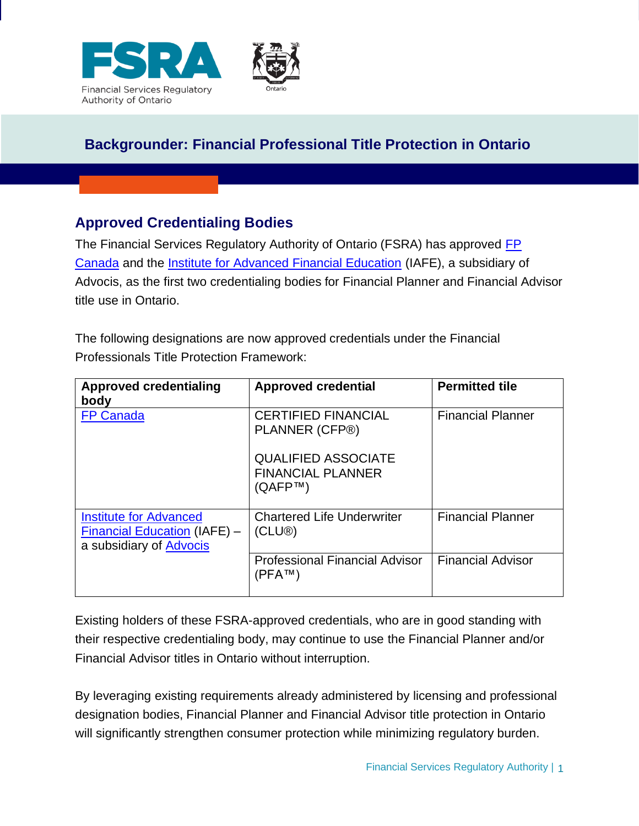



## **Approved Credentialing Bodies**

The Financial Services Regulatory Authority of Ontario (FSRA) has approved FP [Canada](https://www.fpcanada.ca/home) and the [Institute for Advanced Financial Education](https://iafe.ca/) (IAFE), a subsidiary of Advocis, as the first two credentialing bodies for Financial Planner and Financial Advisor title use in Ontario.

The following designations are now approved credentials under the Financial Professionals Title Protection Framework:

| <b>Approved credentialing</b><br>body                                                                  | <b>Approved credential</b>                                                      | <b>Permitted tile</b>    |
|--------------------------------------------------------------------------------------------------------|---------------------------------------------------------------------------------|--------------------------|
| <b>FP Canada</b>                                                                                       | <b>CERTIFIED FINANCIAL</b><br>PLANNER (CFP®)                                    | <b>Financial Planner</b> |
|                                                                                                        | <b>QUALIFIED ASSOCIATE</b><br><b>FINANCIAL PLANNER</b><br>(QAFP <sup>TM</sup> ) |                          |
| <b>Institute for Advanced</b><br><b>Financial Education (IAFE) -</b><br>a subsidiary of <b>Advocis</b> | <b>Chartered Life Underwriter</b><br>(CLU <sup>®</sup> )                        | <b>Financial Planner</b> |
|                                                                                                        | <b>Professional Financial Advisor</b><br>(PFA™)                                 | <b>Financial Advisor</b> |

Existing holders of these FSRA-approved credentials, who are in good standing with their respective credentialing body, may continue to use the Financial Planner and/or Financial Advisor titles in Ontario without interruption.

By leveraging existing requirements already administered by licensing and professional designation bodies, Financial Planner and Financial Advisor title protection in Ontario will significantly strengthen consumer protection while minimizing regulatory burden.